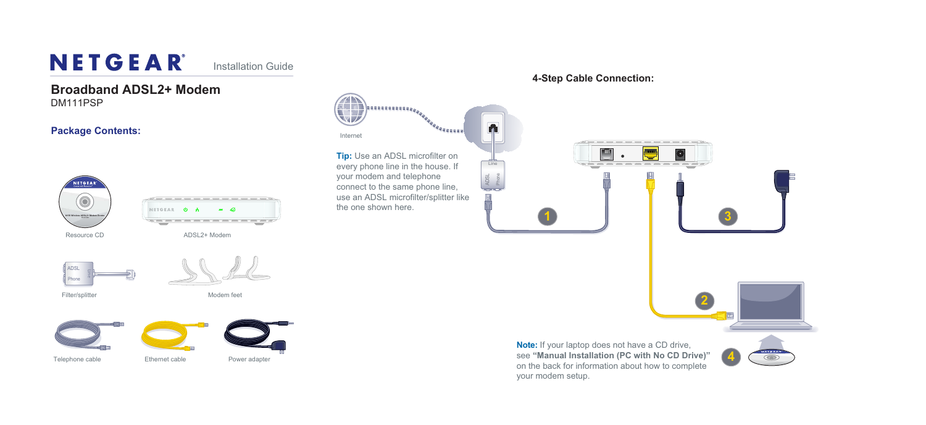Resource CD

## **Broadband ADSL2+ Modem**

DM111PSP



# NETGEAR®

Installation Guide

#### **Package Contents:**







#### **4-Step Cable Connection:**

ADSL2+ Modem





Filter/splitter Modem feet







DGN1000

#### Ethernet cable **1998** Power adapter **4 4 1999 1999 1999 1999 1999 1999 1999 1999 1999 1999 1999 1999 1999 1999 1999 1999 1999 1999 1999 1999 1999 1999 1999 1999 1999 19 Note:** If your laptop does not have a CD drive, on the back for information about how to complete your modem setup.